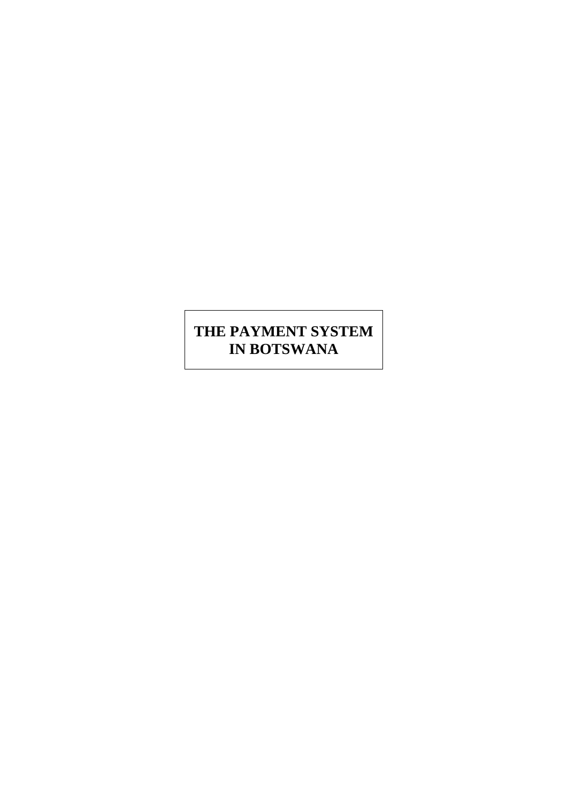# **THE PAYMENT SYSTEM IN BOTSWANA**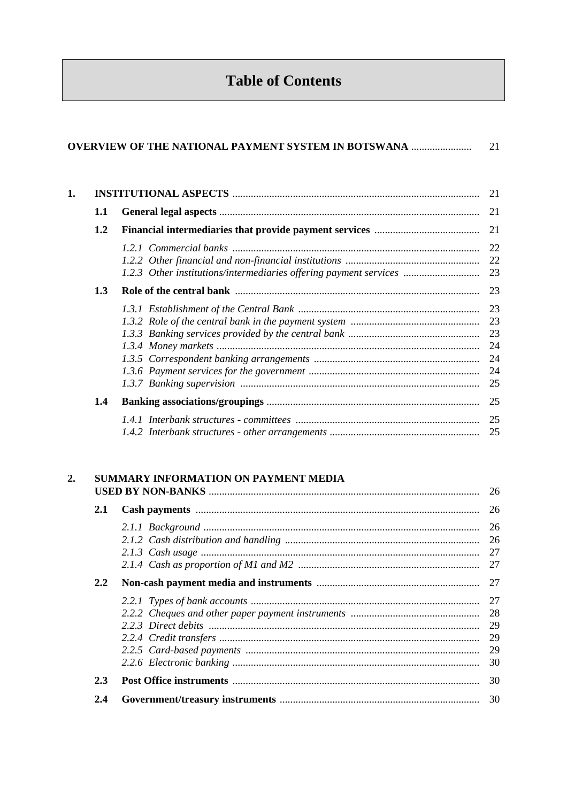# **Table of Contents**

|    |     | <b>OVERVIEW OF THE NATIONAL PAYMENT SYSTEM IN BOTSWANA </b>       | 21                               |
|----|-----|-------------------------------------------------------------------|----------------------------------|
| 1. |     |                                                                   | 21                               |
|    | 1.1 |                                                                   | 21                               |
|    | 1.2 |                                                                   | 21                               |
|    |     | 1.2.3 Other institutions/intermediaries offering payment services | 22<br>22<br>23                   |
|    | 1.3 |                                                                   | 23                               |
|    |     |                                                                   | 23<br>23<br>24<br>24<br>24<br>25 |
|    | 1.4 |                                                                   | 25                               |
|    |     |                                                                   | 25<br>25                         |

#### $2.$ SUMMARY INFORMATION ON PAYMENT MEDIA

| 2.1 |    |
|-----|----|
|     |    |
|     |    |
|     |    |
|     |    |
| 2.2 |    |
|     |    |
|     |    |
|     |    |
|     | 29 |
|     | 29 |
|     | 30 |
| 2.3 |    |
| 2.4 |    |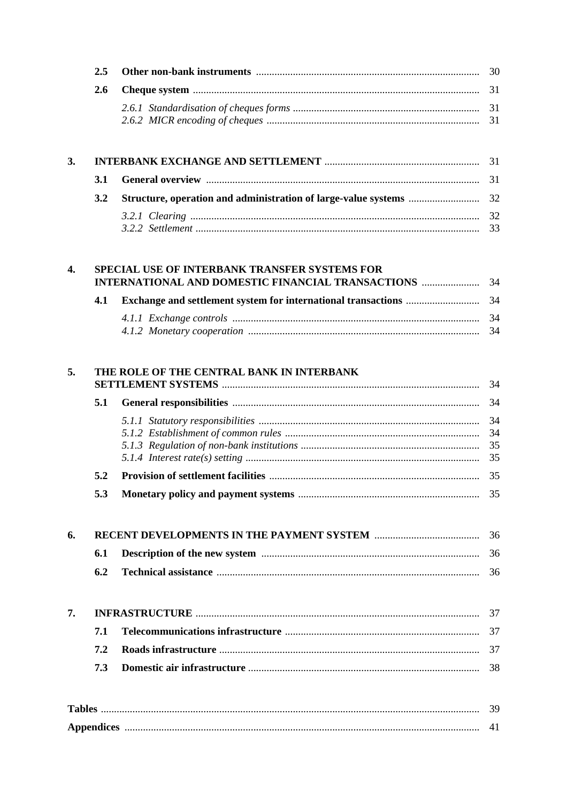| 3. |  |  |  |  |  |  |
|----|--|--|--|--|--|--|
|    |  |  |  |  |  |  |
|    |  |  |  |  |  |  |
|    |  |  |  |  |  |  |
|    |  |  |  |  |  |  |

| SPECIAL USE OF INTERBANK TRANSFER SYSTEMS FOR |  |  |  |  |  |  |  |
|-----------------------------------------------|--|--|--|--|--|--|--|
|                                               |  |  |  |  |  |  |  |
|                                               |  |  |  |  |  |  |  |

| 5. |     | THE ROLE OF THE CENTRAL BANK IN INTERBANK | - 34                 |
|----|-----|-------------------------------------------|----------------------|
|    | 5.1 |                                           | 34                   |
|    |     |                                           | 34<br>34<br>35<br>35 |
|    | 5.2 |                                           | 35                   |
|    | 5.3 |                                           |                      |
| 6. |     |                                           | 36                   |
|    | 6.1 |                                           | 36                   |
|    | 6.2 |                                           | 36                   |
| 7. |     |                                           | - 37                 |
|    | 7.1 |                                           | 37                   |
|    | 7.2 |                                           | 37                   |
|    | 7.3 |                                           | 38                   |
|    |     |                                           | 39                   |
|    |     |                                           | 41                   |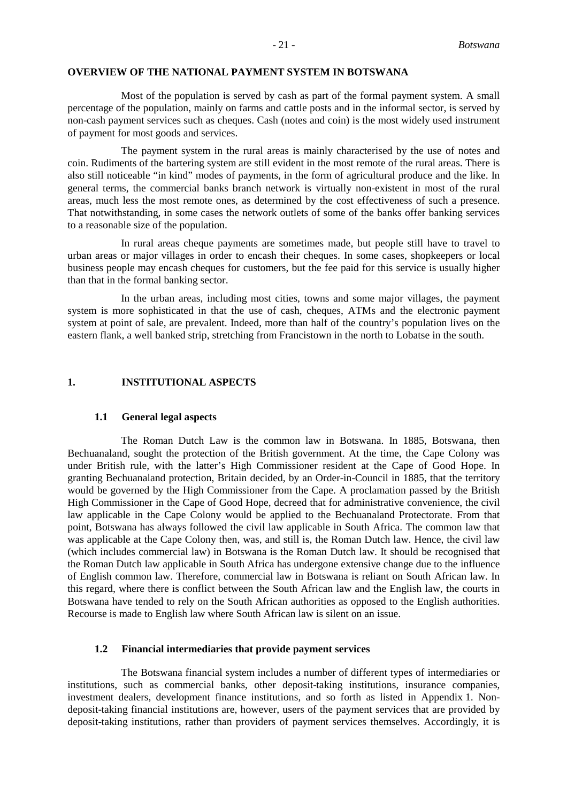#### **OVERVIEW OF THE NATIONAL PAYMENT SYSTEM IN BOTSWANA**

Most of the population is served by cash as part of the formal payment system. A small percentage of the population, mainly on farms and cattle posts and in the informal sector, is served by non-cash payment services such as cheques. Cash (notes and coin) is the most widely used instrument of payment for most goods and services.

The payment system in the rural areas is mainly characterised by the use of notes and coin. Rudiments of the bartering system are still evident in the most remote of the rural areas. There is also still noticeable "in kind" modes of payments, in the form of agricultural produce and the like. In general terms, the commercial banks branch network is virtually non-existent in most of the rural areas, much less the most remote ones, as determined by the cost effectiveness of such a presence. That notwithstanding, in some cases the network outlets of some of the banks offer banking services to a reasonable size of the population.

In rural areas cheque payments are sometimes made, but people still have to travel to urban areas or major villages in order to encash their cheques. In some cases, shopkeepers or local business people may encash cheques for customers, but the fee paid for this service is usually higher than that in the formal banking sector.

In the urban areas, including most cities, towns and some major villages, the payment system is more sophisticated in that the use of cash, cheques, ATMs and the electronic payment system at point of sale, are prevalent. Indeed, more than half of the country's population lives on the eastern flank, a well banked strip, stretching from Francistown in the north to Lobatse in the south.

#### **1. INSTITUTIONAL ASPECTS**

#### **1.1 General legal aspects**

The Roman Dutch Law is the common law in Botswana. In 1885, Botswana, then Bechuanaland, sought the protection of the British government. At the time, the Cape Colony was under British rule, with the latter's High Commissioner resident at the Cape of Good Hope. In granting Bechuanaland protection, Britain decided, by an Order-in-Council in 1885, that the territory would be governed by the High Commissioner from the Cape. A proclamation passed by the British High Commissioner in the Cape of Good Hope, decreed that for administrative convenience, the civil law applicable in the Cape Colony would be applied to the Bechuanaland Protectorate. From that point, Botswana has always followed the civil law applicable in South Africa. The common law that was applicable at the Cape Colony then, was, and still is, the Roman Dutch law. Hence, the civil law (which includes commercial law) in Botswana is the Roman Dutch law. It should be recognised that the Roman Dutch law applicable in South Africa has undergone extensive change due to the influence of English common law. Therefore, commercial law in Botswana is reliant on South African law. In this regard, where there is conflict between the South African law and the English law, the courts in Botswana have tended to rely on the South African authorities as opposed to the English authorities. Recourse is made to English law where South African law is silent on an issue.

#### **1.2 Financial intermediaries that provide payment services**

The Botswana financial system includes a number of different types of intermediaries or institutions, such as commercial banks, other deposit-taking institutions, insurance companies, investment dealers, development finance institutions, and so forth as listed in Appendix 1. Nondeposit-taking financial institutions are, however, users of the payment services that are provided by deposit-taking institutions, rather than providers of payment services themselves. Accordingly, it is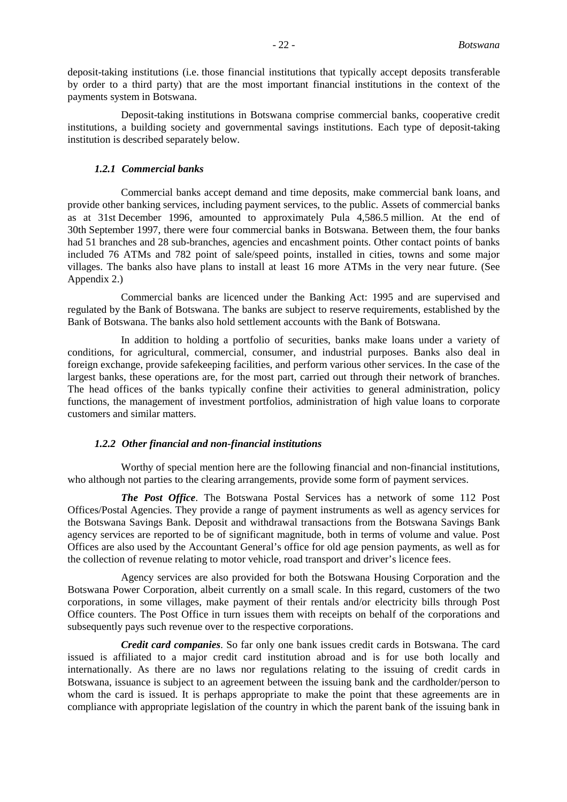deposit-taking institutions (i.e. those financial institutions that typically accept deposits transferable by order to a third party) that are the most important financial institutions in the context of the payments system in Botswana.

Deposit-taking institutions in Botswana comprise commercial banks, cooperative credit institutions, a building society and governmental savings institutions. Each type of deposit-taking institution is described separately below.

#### *1.2.1 Commercial banks*

Commercial banks accept demand and time deposits, make commercial bank loans, and provide other banking services, including payment services, to the public. Assets of commercial banks as at 31st December 1996, amounted to approximately Pula 4,586.5 million. At the end of 30th September 1997, there were four commercial banks in Botswana. Between them, the four banks had 51 branches and 28 sub-branches, agencies and encashment points. Other contact points of banks included 76 ATMs and 782 point of sale/speed points, installed in cities, towns and some major villages. The banks also have plans to install at least 16 more ATMs in the very near future. (See Appendix 2.)

Commercial banks are licenced under the Banking Act: 1995 and are supervised and regulated by the Bank of Botswana. The banks are subject to reserve requirements, established by the Bank of Botswana. The banks also hold settlement accounts with the Bank of Botswana.

In addition to holding a portfolio of securities, banks make loans under a variety of conditions, for agricultural, commercial, consumer, and industrial purposes. Banks also deal in foreign exchange, provide safekeeping facilities, and perform various other services. In the case of the largest banks, these operations are, for the most part, carried out through their network of branches. The head offices of the banks typically confine their activities to general administration, policy functions, the management of investment portfolios, administration of high value loans to corporate customers and similar matters.

#### *1.2.2 Other financial and non-financial institutions*

Worthy of special mention here are the following financial and non-financial institutions, who although not parties to the clearing arrangements, provide some form of payment services.

*The Post Office*. The Botswana Postal Services has a network of some 112 Post Offices/Postal Agencies. They provide a range of payment instruments as well as agency services for the Botswana Savings Bank. Deposit and withdrawal transactions from the Botswana Savings Bank agency services are reported to be of significant magnitude, both in terms of volume and value. Post Offices are also used by the Accountant General's office for old age pension payments, as well as for the collection of revenue relating to motor vehicle, road transport and driver's licence fees.

Agency services are also provided for both the Botswana Housing Corporation and the Botswana Power Corporation, albeit currently on a small scale. In this regard, customers of the two corporations, in some villages, make payment of their rentals and/or electricity bills through Post Office counters. The Post Office in turn issues them with receipts on behalf of the corporations and subsequently pays such revenue over to the respective corporations.

*Credit card companies*. So far only one bank issues credit cards in Botswana. The card issued is affiliated to a major credit card institution abroad and is for use both locally and internationally. As there are no laws nor regulations relating to the issuing of credit cards in Botswana, issuance is subject to an agreement between the issuing bank and the cardholder/person to whom the card is issued. It is perhaps appropriate to make the point that these agreements are in compliance with appropriate legislation of the country in which the parent bank of the issuing bank in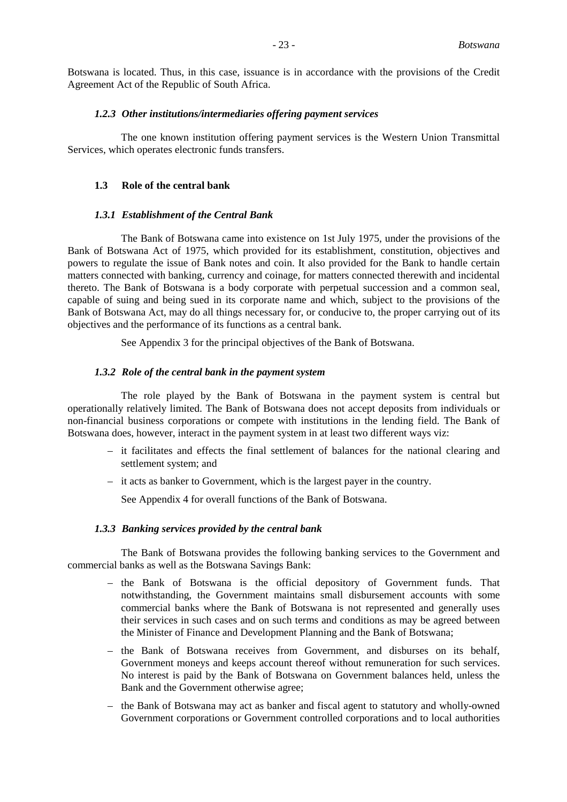Botswana is located. Thus, in this case, issuance is in accordance with the provisions of the Credit Agreement Act of the Republic of South Africa.

#### *1.2.3 Other institutions/intermediaries offering payment services*

The one known institution offering payment services is the Western Union Transmittal Services, which operates electronic funds transfers.

#### **1.3 Role of the central bank**

# *1.3.1 Establishment of the Central Bank*

The Bank of Botswana came into existence on 1st July 1975, under the provisions of the Bank of Botswana Act of 1975, which provided for its establishment, constitution, objectives and powers to regulate the issue of Bank notes and coin. It also provided for the Bank to handle certain matters connected with banking, currency and coinage, for matters connected therewith and incidental thereto. The Bank of Botswana is a body corporate with perpetual succession and a common seal, capable of suing and being sued in its corporate name and which, subject to the provisions of the Bank of Botswana Act, may do all things necessary for, or conducive to, the proper carrying out of its objectives and the performance of its functions as a central bank.

See Appendix 3 for the principal objectives of the Bank of Botswana.

# *1.3.2 Role of the central bank in the payment system*

The role played by the Bank of Botswana in the payment system is central but operationally relatively limited. The Bank of Botswana does not accept deposits from individuals or non-financial business corporations or compete with institutions in the lending field. The Bank of Botswana does, however, interact in the payment system in at least two different ways viz:

- it facilitates and effects the final settlement of balances for the national clearing and settlement system; and
- it acts as banker to Government, which is the largest payer in the country.

See Appendix 4 for overall functions of the Bank of Botswana.

# *1.3.3 Banking services provided by the central bank*

The Bank of Botswana provides the following banking services to the Government and commercial banks as well as the Botswana Savings Bank:

- the Bank of Botswana is the official depository of Government funds. That notwithstanding, the Government maintains small disbursement accounts with some commercial banks where the Bank of Botswana is not represented and generally uses their services in such cases and on such terms and conditions as may be agreed between the Minister of Finance and Development Planning and the Bank of Botswana;
- the Bank of Botswana receives from Government, and disburses on its behalf, Government moneys and keeps account thereof without remuneration for such services. No interest is paid by the Bank of Botswana on Government balances held, unless the Bank and the Government otherwise agree;
- the Bank of Botswana may act as banker and fiscal agent to statutory and wholly-owned Government corporations or Government controlled corporations and to local authorities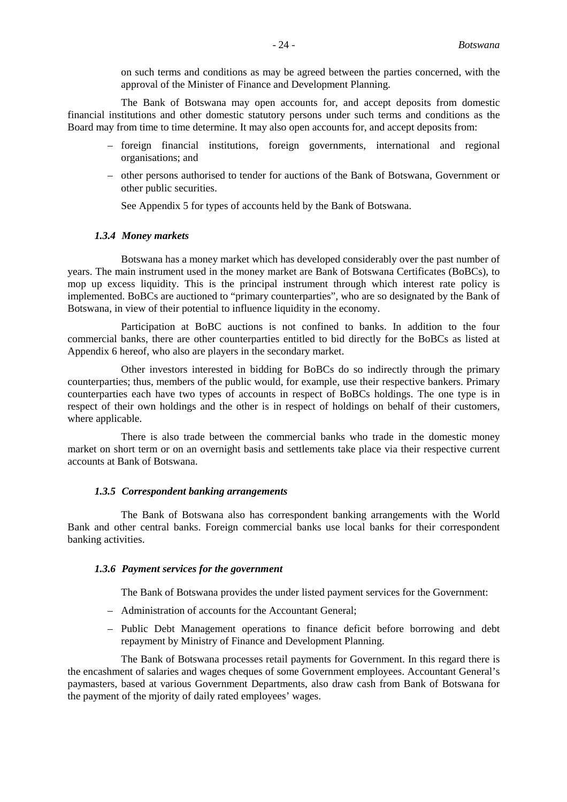on such terms and conditions as may be agreed between the parties concerned, with the approval of the Minister of Finance and Development Planning.

The Bank of Botswana may open accounts for, and accept deposits from domestic financial institutions and other domestic statutory persons under such terms and conditions as the Board may from time to time determine. It may also open accounts for, and accept deposits from:

- foreign financial institutions, foreign governments, international and regional organisations; and
- other persons authorised to tender for auctions of the Bank of Botswana, Government or other public securities.

See Appendix 5 for types of accounts held by the Bank of Botswana.

#### *1.3.4 Money markets*

Botswana has a money market which has developed considerably over the past number of years. The main instrument used in the money market are Bank of Botswana Certificates (BoBCs), to mop up excess liquidity. This is the principal instrument through which interest rate policy is implemented. BoBCs are auctioned to "primary counterparties", who are so designated by the Bank of Botswana, in view of their potential to influence liquidity in the economy.

Participation at BoBC auctions is not confined to banks. In addition to the four commercial banks, there are other counterparties entitled to bid directly for the BoBCs as listed at Appendix 6 hereof, who also are players in the secondary market.

Other investors interested in bidding for BoBCs do so indirectly through the primary counterparties; thus, members of the public would, for example, use their respective bankers. Primary counterparties each have two types of accounts in respect of BoBCs holdings. The one type is in respect of their own holdings and the other is in respect of holdings on behalf of their customers, where applicable.

There is also trade between the commercial banks who trade in the domestic money market on short term or on an overnight basis and settlements take place via their respective current accounts at Bank of Botswana.

#### *1.3.5 Correspondent banking arrangements*

The Bank of Botswana also has correspondent banking arrangements with the World Bank and other central banks. Foreign commercial banks use local banks for their correspondent banking activities.

#### *1.3.6 Payment services for the government*

The Bank of Botswana provides the under listed payment services for the Government:

- Administration of accounts for the Accountant General;
- Public Debt Management operations to finance deficit before borrowing and debt repayment by Ministry of Finance and Development Planning.

The Bank of Botswana processes retail payments for Government. In this regard there is the encashment of salaries and wages cheques of some Government employees. Accountant General's paymasters, based at various Government Departments, also draw cash from Bank of Botswana for the payment of the mjority of daily rated employees' wages.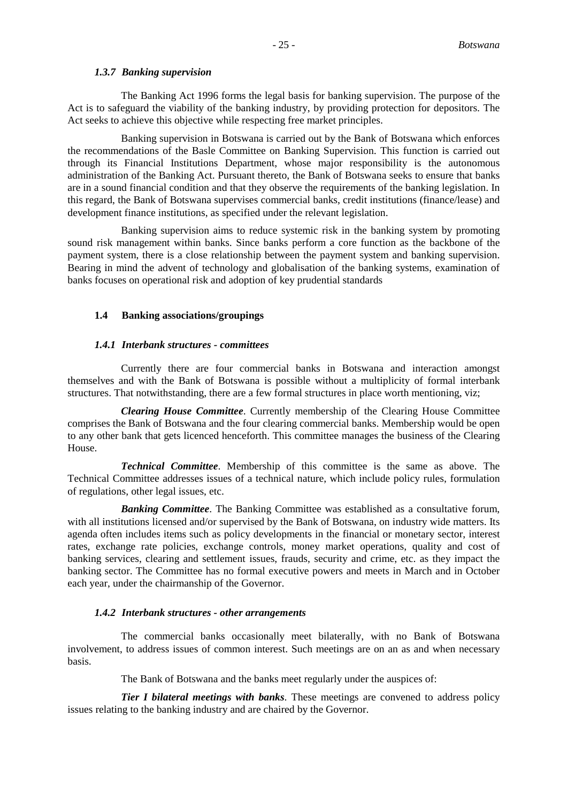#### *1.3.7 Banking supervision*

The Banking Act 1996 forms the legal basis for banking supervision. The purpose of the Act is to safeguard the viability of the banking industry, by providing protection for depositors. The Act seeks to achieve this objective while respecting free market principles.

Banking supervision in Botswana is carried out by the Bank of Botswana which enforces the recommendations of the Basle Committee on Banking Supervision. This function is carried out through its Financial Institutions Department, whose major responsibility is the autonomous administration of the Banking Act. Pursuant thereto, the Bank of Botswana seeks to ensure that banks are in a sound financial condition and that they observe the requirements of the banking legislation. In this regard, the Bank of Botswana supervises commercial banks, credit institutions (finance/lease) and development finance institutions, as specified under the relevant legislation.

Banking supervision aims to reduce systemic risk in the banking system by promoting sound risk management within banks. Since banks perform a core function as the backbone of the payment system, there is a close relationship between the payment system and banking supervision. Bearing in mind the advent of technology and globalisation of the banking systems, examination of banks focuses on operational risk and adoption of key prudential standards

#### **1.4 Banking associations/groupings**

#### *1.4.1 Interbank structures - committees*

Currently there are four commercial banks in Botswana and interaction amongst themselves and with the Bank of Botswana is possible without a multiplicity of formal interbank structures. That notwithstanding, there are a few formal structures in place worth mentioning, viz;

*Clearing House Committee*. Currently membership of the Clearing House Committee comprises the Bank of Botswana and the four clearing commercial banks. Membership would be open to any other bank that gets licenced henceforth. This committee manages the business of the Clearing House.

*Technical Committee*. Membership of this committee is the same as above. The Technical Committee addresses issues of a technical nature, which include policy rules, formulation of regulations, other legal issues, etc.

*Banking Committee*. The Banking Committee was established as a consultative forum, with all institutions licensed and/or supervised by the Bank of Botswana, on industry wide matters. Its agenda often includes items such as policy developments in the financial or monetary sector, interest rates, exchange rate policies, exchange controls, money market operations, quality and cost of banking services, clearing and settlement issues, frauds, security and crime, etc. as they impact the banking sector. The Committee has no formal executive powers and meets in March and in October each year, under the chairmanship of the Governor.

#### *1.4.2 Interbank structures - other arrangements*

The commercial banks occasionally meet bilaterally, with no Bank of Botswana involvement, to address issues of common interest. Such meetings are on an as and when necessary basis.

The Bank of Botswana and the banks meet regularly under the auspices of:

*Tier I bilateral meetings with banks*. These meetings are convened to address policy issues relating to the banking industry and are chaired by the Governor.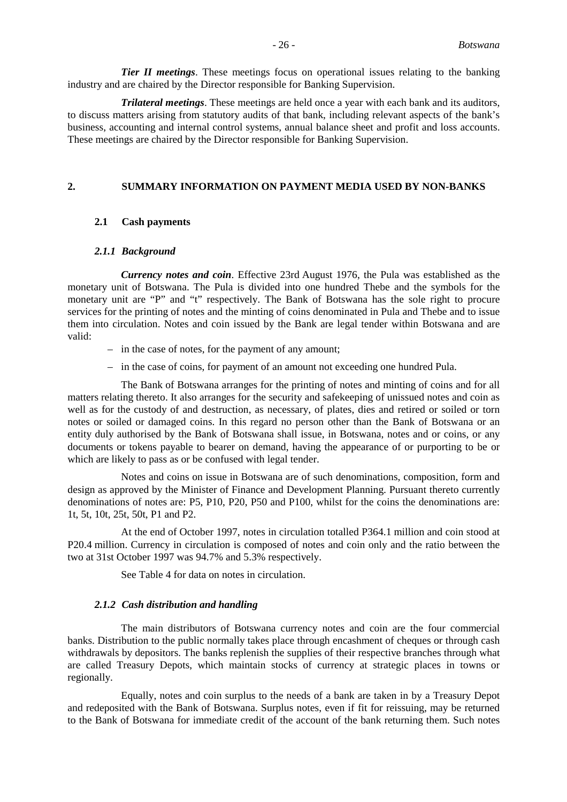*Tier II meetings*. These meetings focus on operational issues relating to the banking industry and are chaired by the Director responsible for Banking Supervision.

*Trilateral meetings*. These meetings are held once a year with each bank and its auditors, to discuss matters arising from statutory audits of that bank, including relevant aspects of the bank's business, accounting and internal control systems, annual balance sheet and profit and loss accounts. These meetings are chaired by the Director responsible for Banking Supervision.

# **2. SUMMARY INFORMATION ON PAYMENT MEDIA USED BY NON-BANKS**

### **2.1 Cash payments**

### *2.1.1 Background*

*Currency notes and coin*. Effective 23rd August 1976, the Pula was established as the monetary unit of Botswana. The Pula is divided into one hundred Thebe and the symbols for the monetary unit are "P" and "t" respectively. The Bank of Botswana has the sole right to procure services for the printing of notes and the minting of coins denominated in Pula and Thebe and to issue them into circulation. Notes and coin issued by the Bank are legal tender within Botswana and are valid:

- in the case of notes, for the payment of any amount;
- in the case of coins, for payment of an amount not exceeding one hundred Pula.

The Bank of Botswana arranges for the printing of notes and minting of coins and for all matters relating thereto. It also arranges for the security and safekeeping of unissued notes and coin as well as for the custody of and destruction, as necessary, of plates, dies and retired or soiled or torn notes or soiled or damaged coins. In this regard no person other than the Bank of Botswana or an entity duly authorised by the Bank of Botswana shall issue, in Botswana, notes and or coins, or any documents or tokens payable to bearer on demand, having the appearance of or purporting to be or which are likely to pass as or be confused with legal tender.

Notes and coins on issue in Botswana are of such denominations, composition, form and design as approved by the Minister of Finance and Development Planning. Pursuant thereto currently denominations of notes are: P5, P10, P20, P50 and P100, whilst for the coins the denominations are: 1t, 5t, 10t, 25t, 50t, P1 and P2.

At the end of October 1997, notes in circulation totalled P364.1 million and coin stood at P20.4 million. Currency in circulation is composed of notes and coin only and the ratio between the two at 31st October 1997 was 94.7% and 5.3% respectively.

See Table 4 for data on notes in circulation.

#### *2.1.2 Cash distribution and handling*

The main distributors of Botswana currency notes and coin are the four commercial banks. Distribution to the public normally takes place through encashment of cheques or through cash withdrawals by depositors. The banks replenish the supplies of their respective branches through what are called Treasury Depots, which maintain stocks of currency at strategic places in towns or regionally.

Equally, notes and coin surplus to the needs of a bank are taken in by a Treasury Depot and redeposited with the Bank of Botswana. Surplus notes, even if fit for reissuing, may be returned to the Bank of Botswana for immediate credit of the account of the bank returning them. Such notes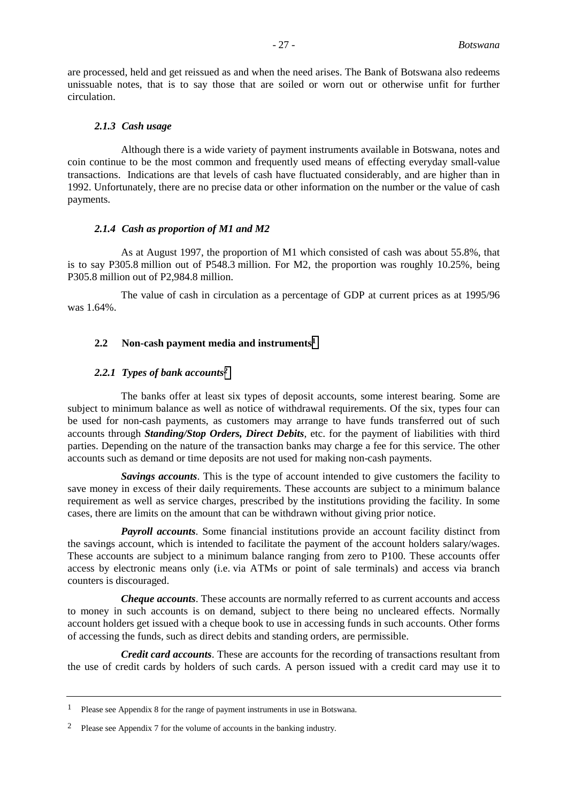are processed, held and get reissued as and when the need arises. The Bank of Botswana also redeems unissuable notes, that is to say those that are soiled or worn out or otherwise unfit for further circulation.

#### *2.1.3 Cash usage*

Although there is a wide variety of payment instruments available in Botswana, notes and coin continue to be the most common and frequently used means of effecting everyday small-value transactions. Indications are that levels of cash have fluctuated considerably, and are higher than in 1992. Unfortunately, there are no precise data or other information on the number or the value of cash payments.

#### *2.1.4 Cash as proportion of M1 and M2*

As at August 1997, the proportion of M1 which consisted of cash was about 55.8%, that is to say P305.8 million out of P548.3 million. For M2, the proportion was roughly 10.25%, being P305.8 million out of P2,984.8 million.

The value of cash in circulation as a percentage of GDP at current prices as at 1995/96 was 1.64%.

# **2.2 Non-cash payment media and instruments1**

#### *2.2.1 Types of bank accounts2*

The banks offer at least six types of deposit accounts, some interest bearing. Some are subject to minimum balance as well as notice of withdrawal requirements. Of the six, types four can be used for non-cash payments, as customers may arrange to have funds transferred out of such accounts through *Standing/Stop Orders, Direct Debits*, etc. for the payment of liabilities with third parties. Depending on the nature of the transaction banks may charge a fee for this service. The other accounts such as demand or time deposits are not used for making non-cash payments.

*Savings accounts*. This is the type of account intended to give customers the facility to save money in excess of their daily requirements. These accounts are subject to a minimum balance requirement as well as service charges, prescribed by the institutions providing the facility. In some cases, there are limits on the amount that can be withdrawn without giving prior notice.

*Payroll accounts*. Some financial institutions provide an account facility distinct from the savings account, which is intended to facilitate the payment of the account holders salary/wages. These accounts are subject to a minimum balance ranging from zero to P100. These accounts offer access by electronic means only (i.e. via ATMs or point of sale terminals) and access via branch counters is discouraged.

*Cheque accounts*. These accounts are normally referred to as current accounts and access to money in such accounts is on demand, subject to there being no uncleared effects. Normally account holders get issued with a cheque book to use in accessing funds in such accounts. Other forms of accessing the funds, such as direct debits and standing orders, are permissible.

*Credit card accounts*. These are accounts for the recording of transactions resultant from the use of credit cards by holders of such cards. A person issued with a credit card may use it to

<sup>1</sup> Please see Appendix 8 for the range of payment instruments in use in Botswana.

<sup>2</sup> Please see Appendix 7 for the volume of accounts in the banking industry*.*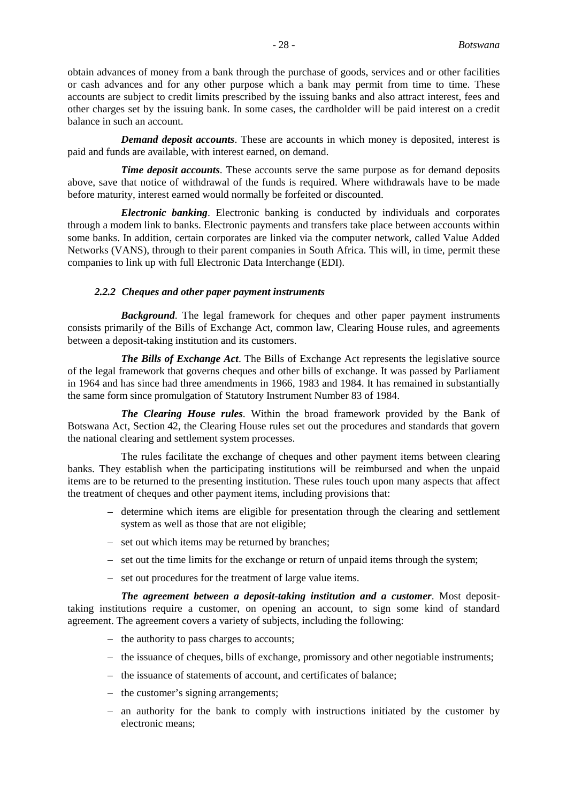obtain advances of money from a bank through the purchase of goods, services and or other facilities or cash advances and for any other purpose which a bank may permit from time to time. These accounts are subject to credit limits prescribed by the issuing banks and also attract interest, fees and other charges set by the issuing bank. In some cases, the cardholder will be paid interest on a credit balance in such an account.

*Demand deposit accounts*. These are accounts in which money is deposited, interest is paid and funds are available, with interest earned, on demand.

*Time deposit accounts*. These accounts serve the same purpose as for demand deposits above, save that notice of withdrawal of the funds is required. Where withdrawals have to be made before maturity, interest earned would normally be forfeited or discounted.

*Electronic banking*. Electronic banking is conducted by individuals and corporates through a modem link to banks. Electronic payments and transfers take place between accounts within some banks. In addition, certain corporates are linked via the computer network, called Value Added Networks (VANS), through to their parent companies in South Africa. This will, in time, permit these companies to link up with full Electronic Data Interchange (EDI).

### *2.2.2 Cheques and other paper payment instruments*

*Background*. The legal framework for cheques and other paper payment instruments consists primarily of the Bills of Exchange Act, common law, Clearing House rules, and agreements between a deposit-taking institution and its customers.

*The Bills of Exchange Act*. The Bills of Exchange Act represents the legislative source of the legal framework that governs cheques and other bills of exchange. It was passed by Parliament in 1964 and has since had three amendments in 1966, 1983 and 1984. It has remained in substantially the same form since promulgation of Statutory Instrument Number 83 of 1984.

*The Clearing House rules*. Within the broad framework provided by the Bank of Botswana Act, Section 42, the Clearing House rules set out the procedures and standards that govern the national clearing and settlement system processes.

The rules facilitate the exchange of cheques and other payment items between clearing banks. They establish when the participating institutions will be reimbursed and when the unpaid items are to be returned to the presenting institution. These rules touch upon many aspects that affect the treatment of cheques and other payment items, including provisions that:

- determine which items are eligible for presentation through the clearing and settlement system as well as those that are not eligible;
- set out which items may be returned by branches;
- set out the time limits for the exchange or return of unpaid items through the system;
- set out procedures for the treatment of large value items.

*The agreement between a deposit-taking institution and a customer*. Most deposittaking institutions require a customer, on opening an account, to sign some kind of standard agreement. The agreement covers a variety of subjects, including the following:

- the authority to pass charges to accounts;
- the issuance of cheques, bills of exchange, promissory and other negotiable instruments;
- the issuance of statements of account, and certificates of balance;
- the customer's signing arrangements;
- an authority for the bank to comply with instructions initiated by the customer by electronic means;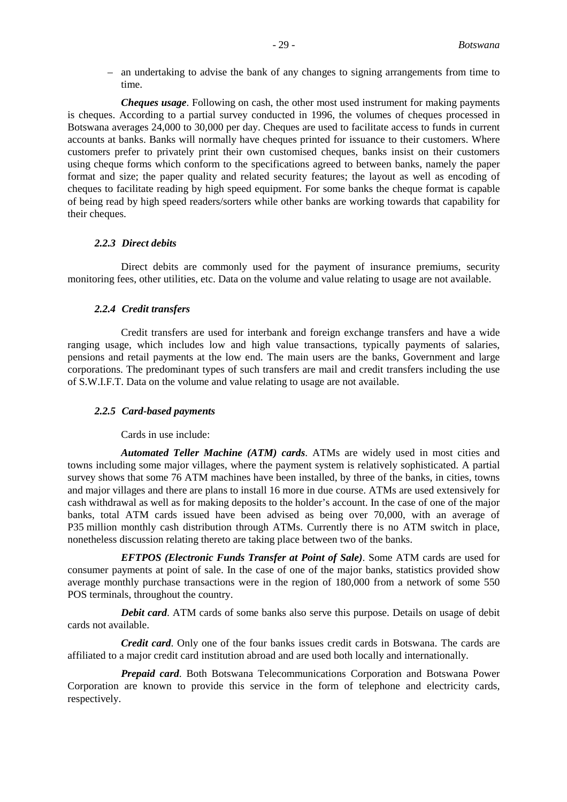– an undertaking to advise the bank of any changes to signing arrangements from time to time.

*Cheques usage*. Following on cash, the other most used instrument for making payments is cheques. According to a partial survey conducted in 1996, the volumes of cheques processed in Botswana averages 24,000 to 30,000 per day. Cheques are used to facilitate access to funds in current accounts at banks. Banks will normally have cheques printed for issuance to their customers. Where customers prefer to privately print their own customised cheques, banks insist on their customers using cheque forms which conform to the specifications agreed to between banks, namely the paper format and size; the paper quality and related security features; the layout as well as encoding of cheques to facilitate reading by high speed equipment. For some banks the cheque format is capable of being read by high speed readers/sorters while other banks are working towards that capability for their cheques.

### *2.2.3 Direct debits*

Direct debits are commonly used for the payment of insurance premiums, security monitoring fees, other utilities, etc. Data on the volume and value relating to usage are not available.

# *2.2.4 Credit transfers*

Credit transfers are used for interbank and foreign exchange transfers and have a wide ranging usage, which includes low and high value transactions, typically payments of salaries, pensions and retail payments at the low end. The main users are the banks, Government and large corporations. The predominant types of such transfers are mail and credit transfers including the use of S.W.I.F.T. Data on the volume and value relating to usage are not available.

#### *2.2.5 Card-based payments*

Cards in use include:

*Automated Teller Machine (ATM) cards*. ATMs are widely used in most cities and towns including some major villages, where the payment system is relatively sophisticated. A partial survey shows that some 76 ATM machines have been installed, by three of the banks, in cities, towns and major villages and there are plans to install 16 more in due course. ATMs are used extensively for cash withdrawal as well as for making deposits to the holder's account. In the case of one of the major banks, total ATM cards issued have been advised as being over 70,000, with an average of P35 million monthly cash distribution through ATMs. Currently there is no ATM switch in place, nonetheless discussion relating thereto are taking place between two of the banks.

*EFTPOS (Electronic Funds Transfer at Point of Sale)*. Some ATM cards are used for consumer payments at point of sale. In the case of one of the major banks, statistics provided show average monthly purchase transactions were in the region of 180,000 from a network of some 550 POS terminals, throughout the country.

*Debit card*. ATM cards of some banks also serve this purpose. Details on usage of debit cards not available.

*Credit card*. Only one of the four banks issues credit cards in Botswana. The cards are affiliated to a major credit card institution abroad and are used both locally and internationally.

*Prepaid card*. Both Botswana Telecommunications Corporation and Botswana Power Corporation are known to provide this service in the form of telephone and electricity cards, respectively.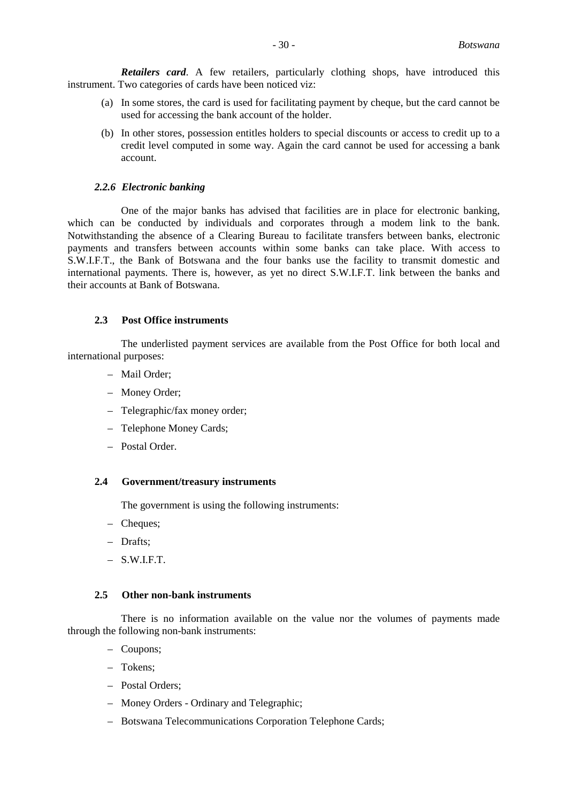*Retailers card*. A few retailers, particularly clothing shops, have introduced this instrument. Two categories of cards have been noticed viz:

- (a) In some stores, the card is used for facilitating payment by cheque, but the card cannot be used for accessing the bank account of the holder.
- (b) In other stores, possession entitles holders to special discounts or access to credit up to a credit level computed in some way. Again the card cannot be used for accessing a bank account.

#### *2.2.6 Electronic banking*

One of the major banks has advised that facilities are in place for electronic banking, which can be conducted by individuals and corporates through a modem link to the bank. Notwithstanding the absence of a Clearing Bureau to facilitate transfers between banks, electronic payments and transfers between accounts within some banks can take place. With access to S.W.I.F.T., the Bank of Botswana and the four banks use the facility to transmit domestic and international payments. There is, however, as yet no direct S.W.I.F.T. link between the banks and their accounts at Bank of Botswana.

# **2.3 Post Office instruments**

The underlisted payment services are available from the Post Office for both local and international purposes:

- Mail Order;
- Money Order;
- Telegraphic/fax money order;
- Telephone Money Cards;
- Postal Order.

# **2.4 Government/treasury instruments**

The government is using the following instruments:

- Cheques;
- Drafts;
- $-$  S.W.I.F.T.

#### **2.5 Other non-bank instruments**

There is no information available on the value nor the volumes of payments made through the following non-bank instruments:

- Coupons;
- Tokens;
- Postal Orders;
- Money Orders Ordinary and Telegraphic;
- Botswana Telecommunications Corporation Telephone Cards;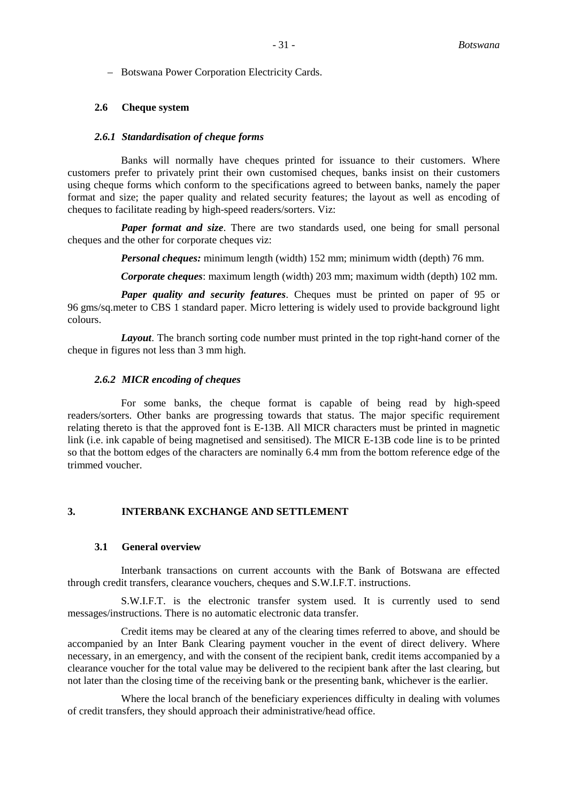– Botswana Power Corporation Electricity Cards.

# **2.6 Cheque system**

# *2.6.1 Standardisation of cheque forms*

Banks will normally have cheques printed for issuance to their customers. Where customers prefer to privately print their own customised cheques, banks insist on their customers using cheque forms which conform to the specifications agreed to between banks, namely the paper format and size; the paper quality and related security features; the layout as well as encoding of cheques to facilitate reading by high-speed readers/sorters. Viz:

*Paper format and size*. There are two standards used, one being for small personal cheques and the other for corporate cheques viz:

*Personal cheques:* minimum length (width) 152 mm; minimum width (depth) 76 mm.

*Corporate cheques*: maximum length (width) 203 mm; maximum width (depth) 102 mm.

*Paper quality and security features*. Cheques must be printed on paper of 95 or 96 gms/sq.meter to CBS 1 standard paper. Micro lettering is widely used to provide background light colours.

*Layout*. The branch sorting code number must printed in the top right-hand corner of the cheque in figures not less than 3 mm high.

# *2.6.2 MICR encoding of cheques*

For some banks, the cheque format is capable of being read by high-speed readers/sorters. Other banks are progressing towards that status. The major specific requirement relating thereto is that the approved font is E-13B. All MICR characters must be printed in magnetic link (i.e. ink capable of being magnetised and sensitised). The MICR E-13B code line is to be printed so that the bottom edges of the characters are nominally 6.4 mm from the bottom reference edge of the trimmed voucher.

# **3. INTERBANK EXCHANGE AND SETTLEMENT**

#### **3.1 General overview**

Interbank transactions on current accounts with the Bank of Botswana are effected through credit transfers, clearance vouchers, cheques and S.W.I.F.T. instructions.

S.W.I.F.T. is the electronic transfer system used. It is currently used to send messages/instructions. There is no automatic electronic data transfer.

Credit items may be cleared at any of the clearing times referred to above, and should be accompanied by an Inter Bank Clearing payment voucher in the event of direct delivery. Where necessary, in an emergency, and with the consent of the recipient bank, credit items accompanied by a clearance voucher for the total value may be delivered to the recipient bank after the last clearing, but not later than the closing time of the receiving bank or the presenting bank, whichever is the earlier.

Where the local branch of the beneficiary experiences difficulty in dealing with volumes of credit transfers, they should approach their administrative/head office.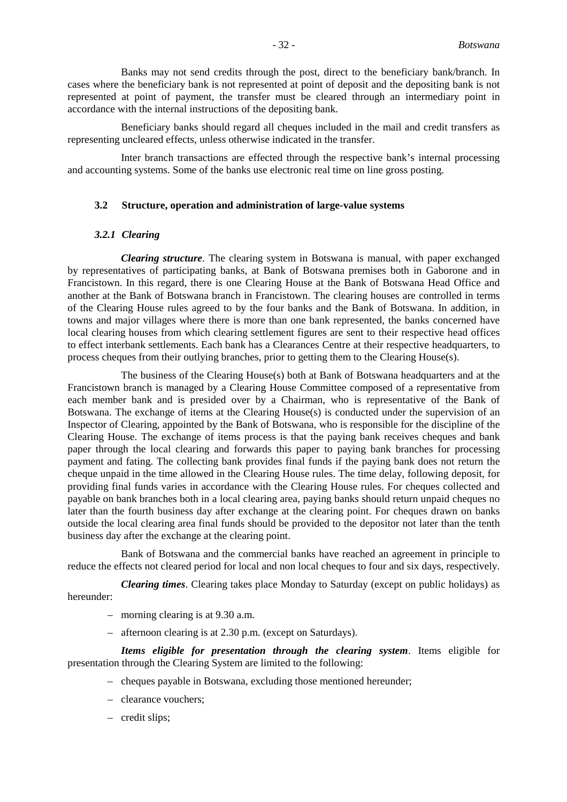Banks may not send credits through the post, direct to the beneficiary bank/branch. In cases where the beneficiary bank is not represented at point of deposit and the depositing bank is not represented at point of payment, the transfer must be cleared through an intermediary point in accordance with the internal instructions of the depositing bank.

Beneficiary banks should regard all cheques included in the mail and credit transfers as representing uncleared effects, unless otherwise indicated in the transfer.

Inter branch transactions are effected through the respective bank's internal processing and accounting systems. Some of the banks use electronic real time on line gross posting.

#### **3.2 Structure, operation and administration of large-value systems**

#### *3.2.1 Clearing*

*Clearing structure*. The clearing system in Botswana is manual, with paper exchanged by representatives of participating banks, at Bank of Botswana premises both in Gaborone and in Francistown. In this regard, there is one Clearing House at the Bank of Botswana Head Office and another at the Bank of Botswana branch in Francistown. The clearing houses are controlled in terms of the Clearing House rules agreed to by the four banks and the Bank of Botswana. In addition, in towns and major villages where there is more than one bank represented, the banks concerned have local clearing houses from which clearing settlement figures are sent to their respective head offices to effect interbank settlements. Each bank has a Clearances Centre at their respective headquarters, to process cheques from their outlying branches, prior to getting them to the Clearing House(s).

The business of the Clearing House(s) both at Bank of Botswana headquarters and at the Francistown branch is managed by a Clearing House Committee composed of a representative from each member bank and is presided over by a Chairman, who is representative of the Bank of Botswana. The exchange of items at the Clearing House(s) is conducted under the supervision of an Inspector of Clearing, appointed by the Bank of Botswana, who is responsible for the discipline of the Clearing House. The exchange of items process is that the paying bank receives cheques and bank paper through the local clearing and forwards this paper to paying bank branches for processing payment and fating. The collecting bank provides final funds if the paying bank does not return the cheque unpaid in the time allowed in the Clearing House rules. The time delay, following deposit, for providing final funds varies in accordance with the Clearing House rules. For cheques collected and payable on bank branches both in a local clearing area, paying banks should return unpaid cheques no later than the fourth business day after exchange at the clearing point. For cheques drawn on banks outside the local clearing area final funds should be provided to the depositor not later than the tenth business day after the exchange at the clearing point.

Bank of Botswana and the commercial banks have reached an agreement in principle to reduce the effects not cleared period for local and non local cheques to four and six days, respectively.

*Clearing times*. Clearing takes place Monday to Saturday (except on public holidays) as hereunder:

- morning clearing is at 9.30 a.m.
- afternoon clearing is at 2.30 p.m. (except on Saturdays).

*Items eligible for presentation through the clearing system*. Items eligible for presentation through the Clearing System are limited to the following:

- cheques payable in Botswana, excluding those mentioned hereunder;
- clearance vouchers;
- credit slips;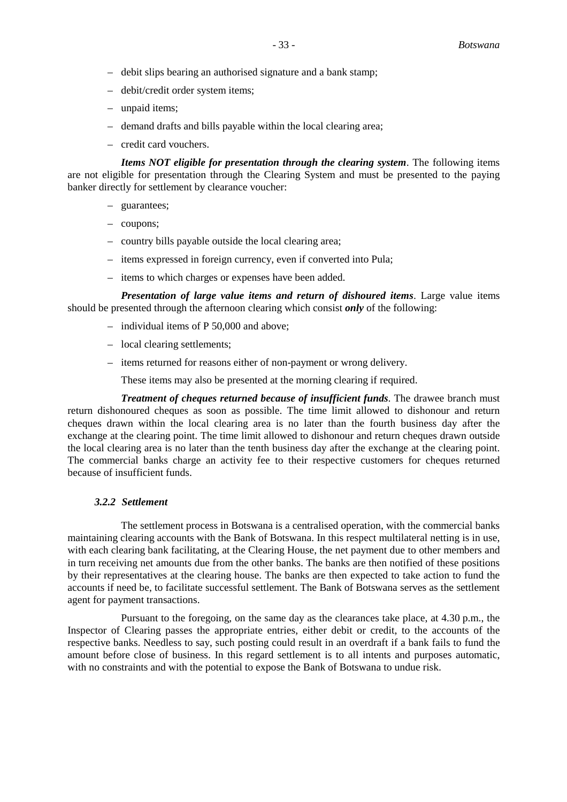- debit slips bearing an authorised signature and a bank stamp;
- debit/credit order system items;
- unpaid items;
- demand drafts and bills payable within the local clearing area;
- credit card vouchers.

*Items NOT eligible for presentation through the clearing system*. The following items are not eligible for presentation through the Clearing System and must be presented to the paying banker directly for settlement by clearance voucher:

- guarantees;
- coupons;
- country bills payable outside the local clearing area;
- items expressed in foreign currency, even if converted into Pula;
- items to which charges or expenses have been added.

*Presentation of large value items and return of dishoured items*. Large value items should be presented through the afternoon clearing which consist *only* of the following:

- individual items of P 50,000 and above;
- local clearing settlements;
- items returned for reasons either of non-payment or wrong delivery.

These items may also be presented at the morning clearing if required.

*Treatment of cheques returned because of insufficient funds*. The drawee branch must return dishonoured cheques as soon as possible. The time limit allowed to dishonour and return cheques drawn within the local clearing area is no later than the fourth business day after the exchange at the clearing point. The time limit allowed to dishonour and return cheques drawn outside the local clearing area is no later than the tenth business day after the exchange at the clearing point. The commercial banks charge an activity fee to their respective customers for cheques returned because of insufficient funds.

# *3.2.2 Settlement*

The settlement process in Botswana is a centralised operation, with the commercial banks maintaining clearing accounts with the Bank of Botswana. In this respect multilateral netting is in use, with each clearing bank facilitating, at the Clearing House, the net payment due to other members and in turn receiving net amounts due from the other banks. The banks are then notified of these positions by their representatives at the clearing house. The banks are then expected to take action to fund the accounts if need be, to facilitate successful settlement. The Bank of Botswana serves as the settlement agent for payment transactions.

Pursuant to the foregoing, on the same day as the clearances take place, at 4.30 p.m., the Inspector of Clearing passes the appropriate entries, either debit or credit, to the accounts of the respective banks. Needless to say, such posting could result in an overdraft if a bank fails to fund the amount before close of business. In this regard settlement is to all intents and purposes automatic, with no constraints and with the potential to expose the Bank of Botswana to undue risk.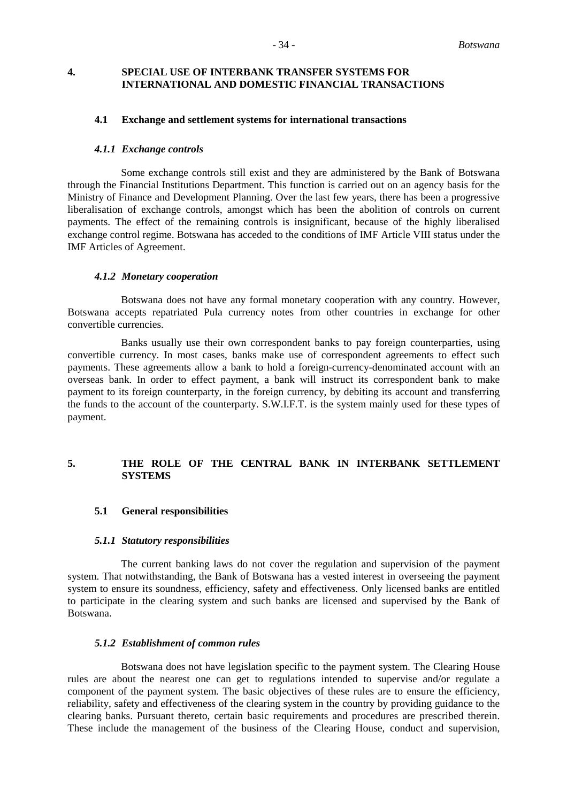# **4. SPECIAL USE OF INTERBANK TRANSFER SYSTEMS FOR INTERNATIONAL AND DOMESTIC FINANCIAL TRANSACTIONS**

# **4.1 Exchange and settlement systems for international transactions**

#### *4.1.1 Exchange controls*

Some exchange controls still exist and they are administered by the Bank of Botswana through the Financial Institutions Department. This function is carried out on an agency basis for the Ministry of Finance and Development Planning. Over the last few years, there has been a progressive liberalisation of exchange controls, amongst which has been the abolition of controls on current payments. The effect of the remaining controls is insignificant, because of the highly liberalised exchange control regime. Botswana has acceded to the conditions of IMF Article VIII status under the IMF Articles of Agreement.

#### *4.1.2 Monetary cooperation*

Botswana does not have any formal monetary cooperation with any country. However, Botswana accepts repatriated Pula currency notes from other countries in exchange for other convertible currencies.

Banks usually use their own correspondent banks to pay foreign counterparties, using convertible currency. In most cases, banks make use of correspondent agreements to effect such payments. These agreements allow a bank to hold a foreign-currency-denominated account with an overseas bank. In order to effect payment, a bank will instruct its correspondent bank to make payment to its foreign counterparty, in the foreign currency, by debiting its account and transferring the funds to the account of the counterparty. S.W.I.F.T. is the system mainly used for these types of payment.

# **5. THE ROLE OF THE CENTRAL BANK IN INTERBANK SETTLEMENT SYSTEMS**

#### **5.1 General responsibilities**

#### *5.1.1 Statutory responsibilities*

The current banking laws do not cover the regulation and supervision of the payment system. That notwithstanding, the Bank of Botswana has a vested interest in overseeing the payment system to ensure its soundness, efficiency, safety and effectiveness. Only licensed banks are entitled to participate in the clearing system and such banks are licensed and supervised by the Bank of Botswana.

# *5.1.2 Establishment of common rules*

Botswana does not have legislation specific to the payment system. The Clearing House rules are about the nearest one can get to regulations intended to supervise and/or regulate a component of the payment system. The basic objectives of these rules are to ensure the efficiency, reliability, safety and effectiveness of the clearing system in the country by providing guidance to the clearing banks. Pursuant thereto, certain basic requirements and procedures are prescribed therein. These include the management of the business of the Clearing House, conduct and supervision,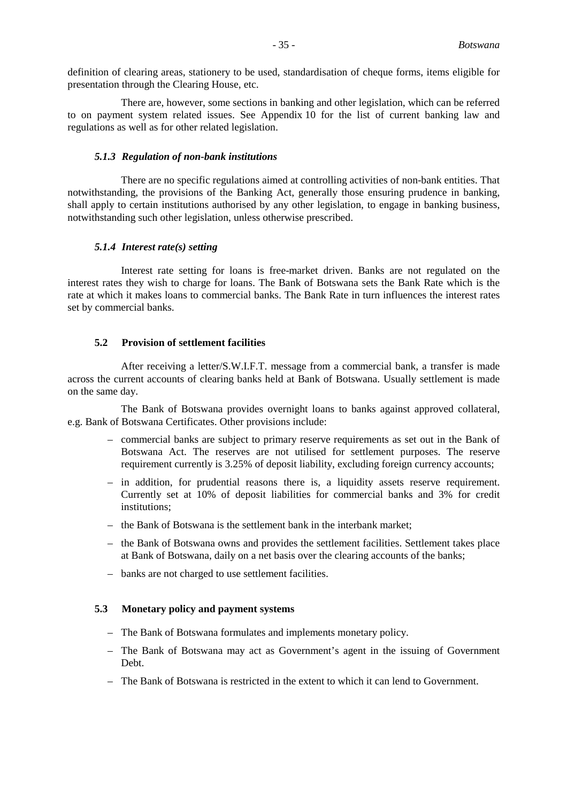definition of clearing areas, stationery to be used, standardisation of cheque forms, items eligible for presentation through the Clearing House, etc.

There are, however, some sections in banking and other legislation, which can be referred to on payment system related issues. See Appendix 10 for the list of current banking law and regulations as well as for other related legislation.

#### *5.1.3 Regulation of non-bank institutions*

There are no specific regulations aimed at controlling activities of non-bank entities. That notwithstanding, the provisions of the Banking Act, generally those ensuring prudence in banking, shall apply to certain institutions authorised by any other legislation, to engage in banking business, notwithstanding such other legislation, unless otherwise prescribed.

#### *5.1.4 Interest rate(s) setting*

Interest rate setting for loans is free-market driven. Banks are not regulated on the interest rates they wish to charge for loans. The Bank of Botswana sets the Bank Rate which is the rate at which it makes loans to commercial banks. The Bank Rate in turn influences the interest rates set by commercial banks.

# **5.2 Provision of settlement facilities**

After receiving a letter/S.W.I.F.T. message from a commercial bank, a transfer is made across the current accounts of clearing banks held at Bank of Botswana. Usually settlement is made on the same day.

The Bank of Botswana provides overnight loans to banks against approved collateral, e.g. Bank of Botswana Certificates. Other provisions include:

- commercial banks are subject to primary reserve requirements as set out in the Bank of Botswana Act. The reserves are not utilised for settlement purposes. The reserve requirement currently is 3.25% of deposit liability, excluding foreign currency accounts;
- in addition, for prudential reasons there is, a liquidity assets reserve requirement. Currently set at 10% of deposit liabilities for commercial banks and 3% for credit institutions;
- the Bank of Botswana is the settlement bank in the interbank market;
- the Bank of Botswana owns and provides the settlement facilities. Settlement takes place at Bank of Botswana, daily on a net basis over the clearing accounts of the banks;
- banks are not charged to use settlement facilities.

#### **5.3 Monetary policy and payment systems**

- The Bank of Botswana formulates and implements monetary policy.
- The Bank of Botswana may act as Government's agent in the issuing of Government Debt.
- The Bank of Botswana is restricted in the extent to which it can lend to Government.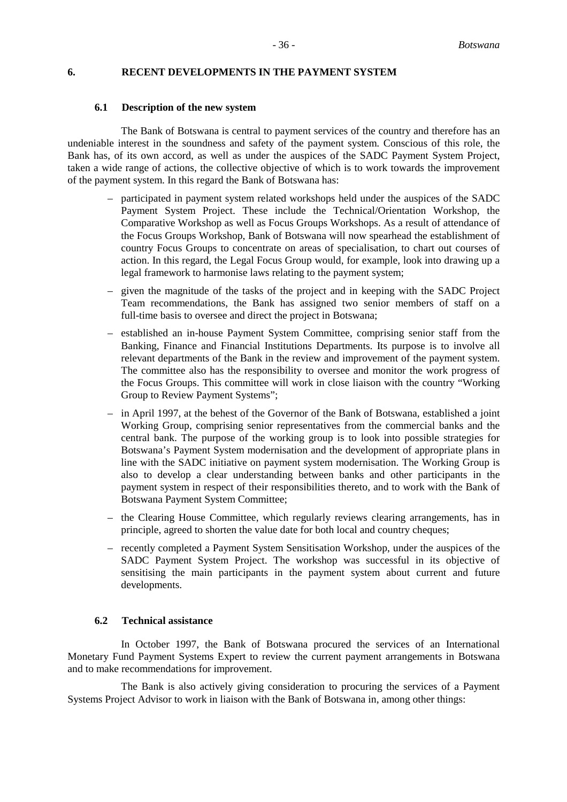#### **6. RECENT DEVELOPMENTS IN THE PAYMENT SYSTEM**

#### **6.1 Description of the new system**

The Bank of Botswana is central to payment services of the country and therefore has an undeniable interest in the soundness and safety of the payment system. Conscious of this role, the Bank has, of its own accord, as well as under the auspices of the SADC Payment System Project, taken a wide range of actions, the collective objective of which is to work towards the improvement of the payment system. In this regard the Bank of Botswana has:

- participated in payment system related workshops held under the auspices of the SADC Payment System Project. These include the Technical/Orientation Workshop, the Comparative Workshop as well as Focus Groups Workshops. As a result of attendance of the Focus Groups Workshop, Bank of Botswana will now spearhead the establishment of country Focus Groups to concentrate on areas of specialisation, to chart out courses of action. In this regard, the Legal Focus Group would, for example, look into drawing up a legal framework to harmonise laws relating to the payment system;
- given the magnitude of the tasks of the project and in keeping with the SADC Project Team recommendations, the Bank has assigned two senior members of staff on a full-time basis to oversee and direct the project in Botswana;
- established an in-house Payment System Committee, comprising senior staff from the Banking, Finance and Financial Institutions Departments. Its purpose is to involve all relevant departments of the Bank in the review and improvement of the payment system. The committee also has the responsibility to oversee and monitor the work progress of the Focus Groups. This committee will work in close liaison with the country "Working Group to Review Payment Systems";
- in April 1997, at the behest of the Governor of the Bank of Botswana, established a joint Working Group, comprising senior representatives from the commercial banks and the central bank. The purpose of the working group is to look into possible strategies for Botswana's Payment System modernisation and the development of appropriate plans in line with the SADC initiative on payment system modernisation. The Working Group is also to develop a clear understanding between banks and other participants in the payment system in respect of their responsibilities thereto, and to work with the Bank of Botswana Payment System Committee;
- the Clearing House Committee, which regularly reviews clearing arrangements, has in principle, agreed to shorten the value date for both local and country cheques;
- recently completed a Payment System Sensitisation Workshop, under the auspices of the SADC Payment System Project. The workshop was successful in its objective of sensitising the main participants in the payment system about current and future developments.

### **6.2 Technical assistance**

In October 1997, the Bank of Botswana procured the services of an International Monetary Fund Payment Systems Expert to review the current payment arrangements in Botswana and to make recommendations for improvement.

The Bank is also actively giving consideration to procuring the services of a Payment Systems Project Advisor to work in liaison with the Bank of Botswana in, among other things: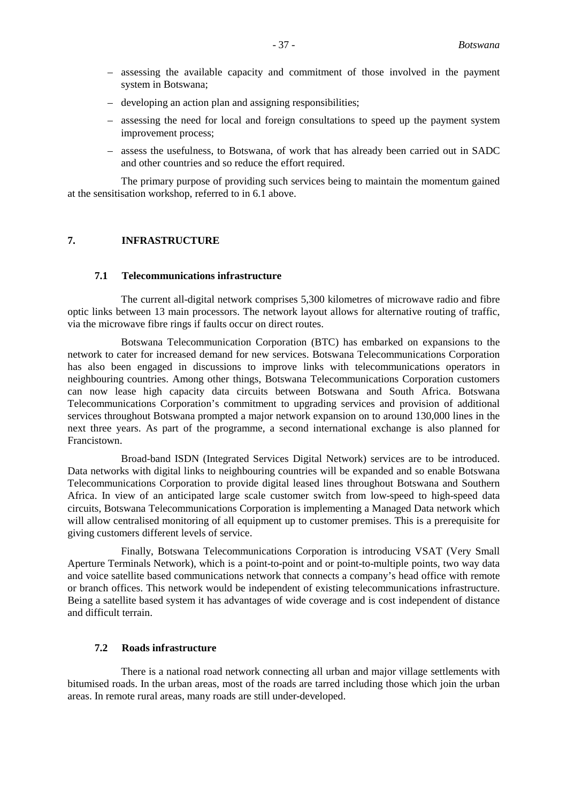- assessing the available capacity and commitment of those involved in the payment system in Botswana;
- developing an action plan and assigning responsibilities;
- assessing the need for local and foreign consultations to speed up the payment system improvement process;
- assess the usefulness, to Botswana, of work that has already been carried out in SADC and other countries and so reduce the effort required.

The primary purpose of providing such services being to maintain the momentum gained at the sensitisation workshop, referred to in 6.1 above.

# **7. INFRASTRUCTURE**

#### **7.1 Telecommunications infrastructure**

The current all-digital network comprises 5,300 kilometres of microwave radio and fibre optic links between 13 main processors. The network layout allows for alternative routing of traffic, via the microwave fibre rings if faults occur on direct routes.

Botswana Telecommunication Corporation (BTC) has embarked on expansions to the network to cater for increased demand for new services. Botswana Telecommunications Corporation has also been engaged in discussions to improve links with telecommunications operators in neighbouring countries. Among other things, Botswana Telecommunications Corporation customers can now lease high capacity data circuits between Botswana and South Africa. Botswana Telecommunications Corporation's commitment to upgrading services and provision of additional services throughout Botswana prompted a major network expansion on to around 130,000 lines in the next three years. As part of the programme, a second international exchange is also planned for Francistown.

Broad-band ISDN (Integrated Services Digital Network) services are to be introduced. Data networks with digital links to neighbouring countries will be expanded and so enable Botswana Telecommunications Corporation to provide digital leased lines throughout Botswana and Southern Africa. In view of an anticipated large scale customer switch from low-speed to high-speed data circuits, Botswana Telecommunications Corporation is implementing a Managed Data network which will allow centralised monitoring of all equipment up to customer premises. This is a prerequisite for giving customers different levels of service.

Finally, Botswana Telecommunications Corporation is introducing VSAT (Very Small Aperture Terminals Network), which is a point-to-point and or point-to-multiple points, two way data and voice satellite based communications network that connects a company's head office with remote or branch offices. This network would be independent of existing telecommunications infrastructure. Being a satellite based system it has advantages of wide coverage and is cost independent of distance and difficult terrain.

#### **7.2 Roads infrastructure**

There is a national road network connecting all urban and major village settlements with bitumised roads. In the urban areas, most of the roads are tarred including those which join the urban areas. In remote rural areas, many roads are still under-developed.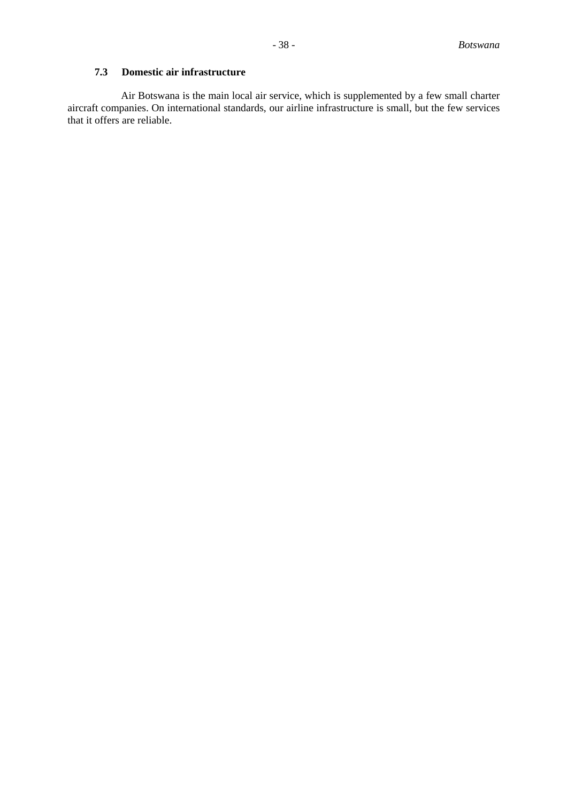# **7.3 Domestic air infrastructure**

Air Botswana is the main local air service, which is supplemented by a few small charter aircraft companies. On international standards, our airline infrastructure is small, but the few services that it offers are reliable.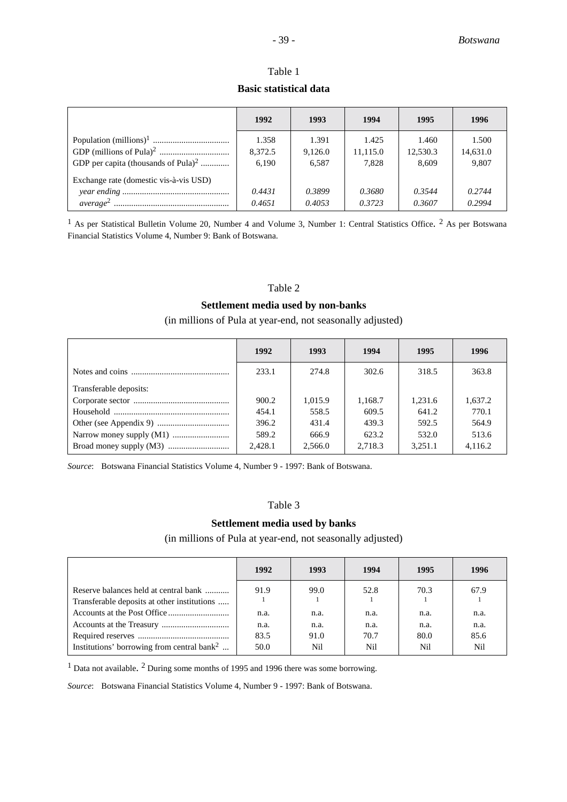# Table 1 **Basic statistical data**

|                                                 | 1992                      | 1993                      | 1994                       | 1995                       | 1996                       |
|-------------------------------------------------|---------------------------|---------------------------|----------------------------|----------------------------|----------------------------|
| GDP per capita (thousands of Pula) <sup>2</sup> | 1.358<br>8,372.5<br>6,190 | 1.391<br>9,126.0<br>6,587 | 1.425<br>11,115.0<br>7,828 | 1.460<br>12,530.3<br>8,609 | 1.500<br>14,631.0<br>9,807 |
| Exchange rate (domestic vis-à-vis USD)          | 0.4431<br>0.4651          | 0.3899<br>0.4053          | 0.3680<br>0.3723           | 0.3544<br>0.3607           | 0.2744<br>0.2994           |

<sup>1</sup> As per Statistical Bulletin Volume 20, Number 4 and Volume 3, Number 1: Central Statistics Office. <sup>2</sup> As per Botswana Financial Statistics Volume 4, Number 9: Bank of Botswana.

# Table 2

# **Settlement media used by non-banks**

# (in millions of Pula at year-end, not seasonally adjusted)

|                        | 1992    | 1993    | 1994    | 1995    | 1996    |
|------------------------|---------|---------|---------|---------|---------|
|                        | 233.1   | 274.8   | 302.6   | 318.5   | 363.8   |
| Transferable deposits: |         |         |         |         |         |
|                        | 900.2   | 1.015.9 | 1,168.7 | 1.231.6 | 1,637.2 |
|                        | 454.1   | 558.5   | 609.5   | 641.2   | 770.1   |
|                        | 396.2   | 431.4   | 439.3   | 592.5   | 564.9   |
|                        | 589.2   | 666.9   | 623.2   | 532.0   | 513.6   |
|                        | 2.428.1 | 2,566.0 | 2.718.3 | 3,251.1 | 4.116.2 |

*Source*: Botswana Financial Statistics Volume 4, Number 9 - 1997: Bank of Botswana.

# Table 3

# **Settlement media used by banks**

(in millions of Pula at year-end, not seasonally adjusted)

|                                                                                      | 1992         | 1993        | 1994        | 1995        | 1996        |
|--------------------------------------------------------------------------------------|--------------|-------------|-------------|-------------|-------------|
| Reserve balances held at central bank<br>Transferable deposits at other institutions | 91.9         | 99.0        | 52.8        | 70.3        | 67.9        |
|                                                                                      | n.a.         | n.a.        | n.a.        | n.a.        | n.a.        |
|                                                                                      | n.a.         | n.a.        | n.a.        | n.a.        | n.a.        |
| Institutions' borrowing from central bank <sup>2</sup>                               | 83.5<br>50.0 | 91.0<br>Nil | 70.7<br>Nil | 80.0<br>Nil | 85.6<br>Nil |

<sup>1</sup> Data not available. <sup>2</sup> During some months of 1995 and 1996 there was some borrowing.

*Source*: Botswana Financial Statistics Volume 4, Number 9 - 1997: Bank of Botswana.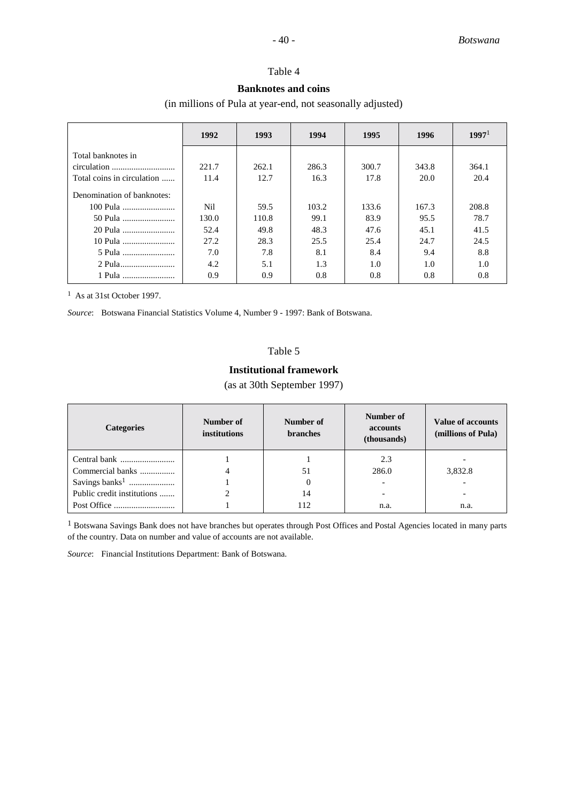# Table 4

# **Banknotes and coins**

(in millions of Pula at year-end, not seasonally adjusted)

|                            | 1992  | 1993  | 1994  | 1995  | 1996  | 1997 <sup>1</sup> |
|----------------------------|-------|-------|-------|-------|-------|-------------------|
| Total banknotes in         |       |       |       |       |       |                   |
|                            | 221.7 | 262.1 | 286.3 | 300.7 | 343.8 | 364.1             |
| Total coins in circulation | 11.4  | 12.7  | 16.3  | 17.8  | 20.0  | 20.4              |
| Denomination of banknotes: |       |       |       |       |       |                   |
| 100 Pula                   | Nil   | 59.5  | 103.2 | 133.6 | 167.3 | 208.8             |
| 50 Pula                    | 130.0 | 110.8 | 99.1  | 83.9  | 95.5  | 78.7              |
| 20 Pula                    | 52.4  | 49.8  | 48.3  | 47.6  | 45.1  | 41.5              |
| 10 Pula                    | 27.2  | 28.3  | 25.5  | 25.4  | 24.7  | 24.5              |
|                            | 7.0   | 7.8   | 8.1   | 8.4   | 9.4   | 8.8               |
|                            | 4.2   | 5.1   | 1.3   | 1.0   | 1.0   | 1.0               |
| 1 Pula                     | 0.9   | 0.9   | 0.8   | 0.8   | 0.8   | 0.8               |

1 As at 31st October 1997.

*Source*: Botswana Financial Statistics Volume 4, Number 9 - 1997: Bank of Botswana.

# Table 5

# **Institutional framework**

(as at 30th September 1997)

| <b>Categories</b>          | Number of<br>institutions | Number of<br><b>branches</b> | Number of<br>accounts<br>(thousands) | <b>Value of accounts</b><br>(millions of Pula) |
|----------------------------|---------------------------|------------------------------|--------------------------------------|------------------------------------------------|
|                            |                           |                              | 2.3                                  |                                                |
| Commercial banks           |                           | 51                           | 286.0                                | 3,832.8                                        |
|                            |                           | $\Omega$                     |                                      |                                                |
| Public credit institutions | ↑                         | 14                           |                                      | $\overline{\phantom{0}}$                       |
|                            |                           | 112                          | n.a.                                 | n.a.                                           |

<sup>1</sup> Botswana Savings Bank does not have branches but operates through Post Offices and Postal Agencies located in many parts of the country. Data on number and value of accounts are not available.

*Source*: Financial Institutions Department: Bank of Botswana.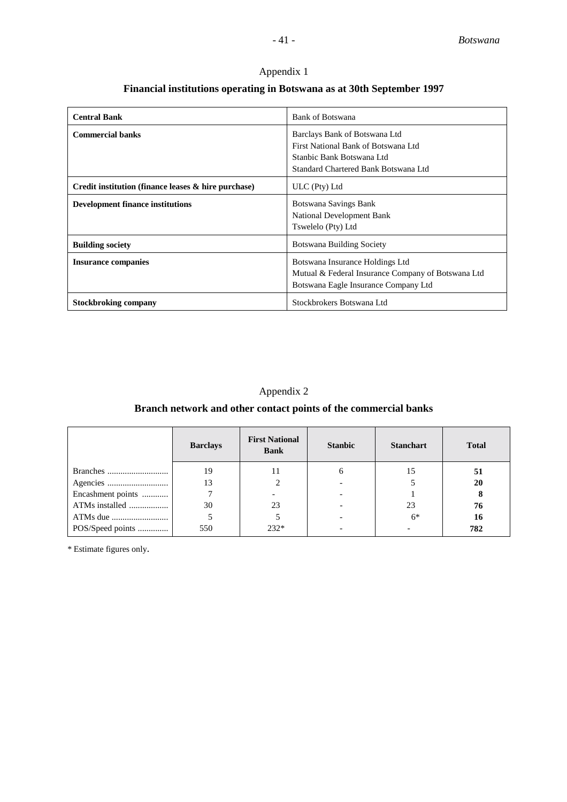# **Financial institutions operating in Botswana as at 30th September 1997**

| <b>Central Bank</b>                                    | Bank of Botswana                                                                                                                          |
|--------------------------------------------------------|-------------------------------------------------------------------------------------------------------------------------------------------|
| <b>Commercial banks</b>                                | Barclays Bank of Botswana Ltd<br>First National Bank of Botswana Ltd<br>Stanbic Bank Botswana Ltd<br>Standard Chartered Bank Botswana Ltd |
| Credit institution (finance leases $\&$ hire purchase) | ULC (Pty) Ltd                                                                                                                             |
| <b>Development finance institutions</b>                | Botswana Savings Bank<br><b>National Development Bank</b><br>Tswelelo (Pty) Ltd                                                           |
| <b>Building society</b>                                | Botswana Building Society                                                                                                                 |
| <b>Insurance companies</b>                             | Botswana Insurance Holdings Ltd<br>Mutual & Federal Insurance Company of Botswana Ltd<br>Botswana Eagle Insurance Company Ltd             |
| <b>Stockbroking company</b>                            | Stockbrokers Botswana Ltd                                                                                                                 |

# Appendix 2

# **Branch network and other contact points of the commercial banks**

|                   | <b>Barclays</b> | <b>First National</b><br><b>Bank</b> | <b>Stanbic</b> | <b>Stanchart</b> | <b>Total</b> |
|-------------------|-----------------|--------------------------------------|----------------|------------------|--------------|
|                   | 19              | 11                                   | O              | 15               | 51           |
|                   | 13              |                                      |                |                  | 20           |
| Encashment points |                 |                                      |                |                  | 8            |
| ATMs installed    | 30              | 23                                   |                | 23               | 76           |
|                   |                 |                                      |                | $6*$             | 16           |
| POS/Speed points  | 550             | $232*$                               |                |                  | 782          |

\* Estimate figures only.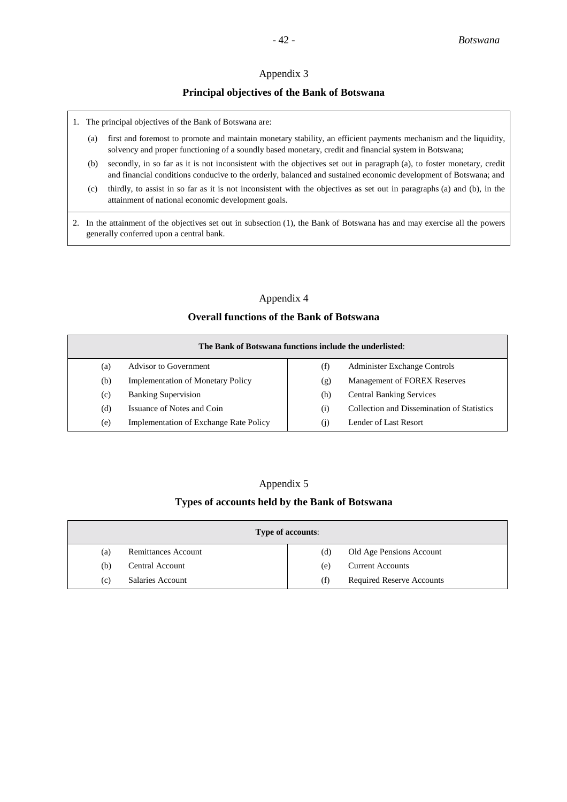# **Principal objectives of the Bank of Botswana**

- 1. The principal objectives of the Bank of Botswana are:
	- (a) first and foremost to promote and maintain monetary stability, an efficient payments mechanism and the liquidity, solvency and proper functioning of a soundly based monetary, credit and financial system in Botswana;
	- (b) secondly, in so far as it is not inconsistent with the objectives set out in paragraph (a), to foster monetary, credit and financial conditions conducive to the orderly, balanced and sustained economic development of Botswana; and
	- (c) thirdly, to assist in so far as it is not inconsistent with the objectives as set out in paragraphs (a) and (b), in the attainment of national economic development goals.
- 2. In the attainment of the objectives set out in subsection (1), the Bank of Botswana has and may exercise all the powers generally conferred upon a central bank.

# Appendix 4

# **Overall functions of the Bank of Botswana**

| The Bank of Botswana functions include the underlisted: |                                               |     |                                            |  |
|---------------------------------------------------------|-----------------------------------------------|-----|--------------------------------------------|--|
| (a)                                                     | Advisor to Government                         | (f) | Administer Exchange Controls               |  |
| (b)                                                     | <b>Implementation of Monetary Policy</b>      | (g) | Management of FOREX Reserves               |  |
| (c)                                                     | <b>Banking Supervision</b>                    | (h) | <b>Central Banking Services</b>            |  |
| (d)                                                     | Issuance of Notes and Coin                    | (1) | Collection and Dissemination of Statistics |  |
| (e)                                                     | <b>Implementation of Exchange Rate Policy</b> | (1) | Lender of Last Resort                      |  |

# Appendix 5

#### **Types of accounts held by the Bank of Botswana**

| <b>Type of accounts:</b> |                     |     |                                  |  |
|--------------------------|---------------------|-----|----------------------------------|--|
| (a)                      | Remittances Account | (d) | Old Age Pensions Account         |  |
| (b)                      | Central Account     | (e) | <b>Current Accounts</b>          |  |
| (c)                      | Salaries Account    | (f) | <b>Required Reserve Accounts</b> |  |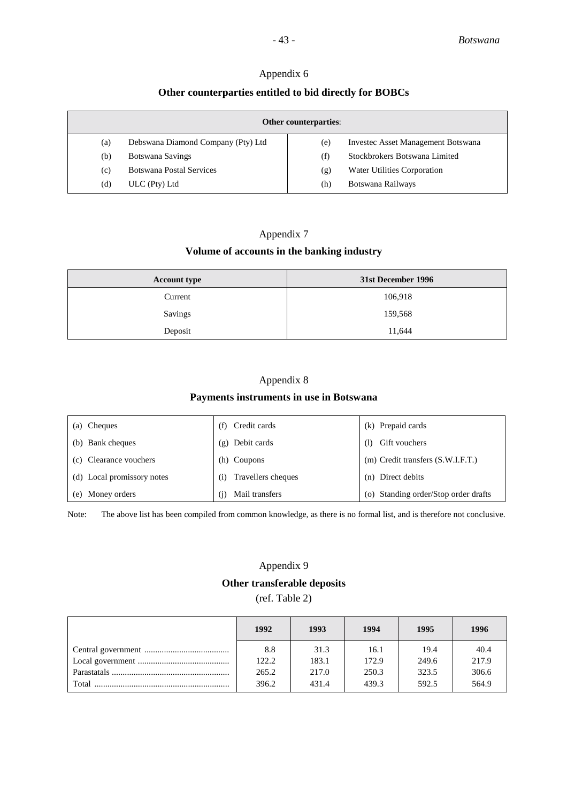# **Other counterparties entitled to bid directly for BOBCs**

| <b>Other counterparties:</b> |                                    |     |                                           |  |  |
|------------------------------|------------------------------------|-----|-------------------------------------------|--|--|
| (a)                          | Debswana Diamond Company (Pty) Ltd | (e) | <b>Invested Asset Management Botswana</b> |  |  |
| (b)                          | Botswana Savings                   | (f) | Stockbrokers Botswana Limited             |  |  |
| (c)                          | <b>Botswana Postal Services</b>    | (g) | Water Utilities Corporation               |  |  |
| (d)                          | $ULC$ (Pty) $Ltd$                  | (h) | Botswana Railways                         |  |  |

# Appendix 7 **Volume of accounts in the banking industry**

| <b>Account type</b> | 31st December 1996 |  |  |
|---------------------|--------------------|--|--|
| Current             | 106,918            |  |  |
| Savings             | 159,568            |  |  |
| Deposit             | 11,644             |  |  |

# Appendix 8

# **Payments instruments in use in Botswana**

| (a) Cheques                | Credit cards<br>(f)       | (k) Prepaid cards                     |
|----------------------------|---------------------------|---------------------------------------|
| (b) Bank cheques           | (g) Debit cards           | Gift vouchers<br>(1)                  |
| (c) Clearance vouchers     | (h) Coupons               | $(m)$ Credit transfers $(S.W.I.F.T.)$ |
| (d) Local promissory notes | Travellers cheques<br>(i) | (n) Direct debits                     |
| (e) Money orders           | Mail transfers<br>(1)     | (o) Standing order/Stop order drafts  |

Note: The above list has been compiled from common knowledge, as there is no formal list, and is therefore not conclusive.

# Appendix 9 **Other transferable deposits** (ref. Table 2)

|        | 1992                  | 1993                   | 1994                   | 1995                   | 1996                   |
|--------|-----------------------|------------------------|------------------------|------------------------|------------------------|
|        | 8.8<br>122.2<br>265.2 | 31.3<br>183.1<br>217.0 | 16.1<br>172.9<br>250.3 | 19.4<br>249.6<br>323.5 | 40.4<br>217.9<br>306.6 |
| Total. | 396.2                 | 431.4                  | 439.3                  | 592.5                  | 564.9                  |